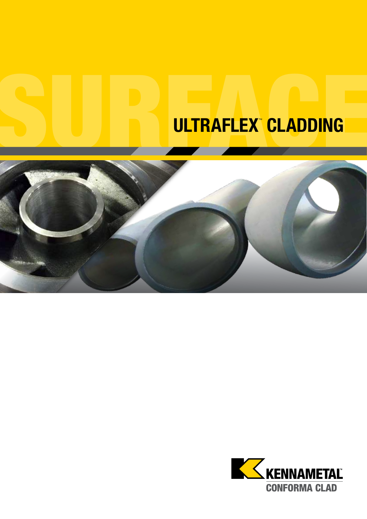# ULTRAFLEX CLADDING



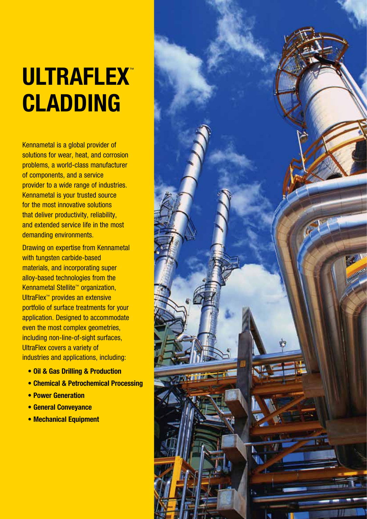# ULTRAFLEX™ CLADDING

Kennametal is a global provider of solutions for wear, heat, and corrosion problems, a world-class manufacturer of components, and a service provider to a wide range of industries. Kennametal is your trusted source for the most innovative solutions that deliver productivity, reliability, and extended service life in the most demanding environments.

Drawing on expertise from Kennametal with tungsten carbide-based materials, and incorporating super alloy-based technologies from the Kennametal Stellite™ organization, UltraFlex<sup>™</sup> provides an extensive portfolio of surface treatments for your application. Designed to accommodate even the most complex geometries, including non-line-of-sight surfaces, UltraFlex covers a variety of industries and applications, including:

- Oil & Gas Drilling & Production
- Chemical & Petrochemical Processing
- Power Generation
- General Conveyance
- Mechanical Equipment

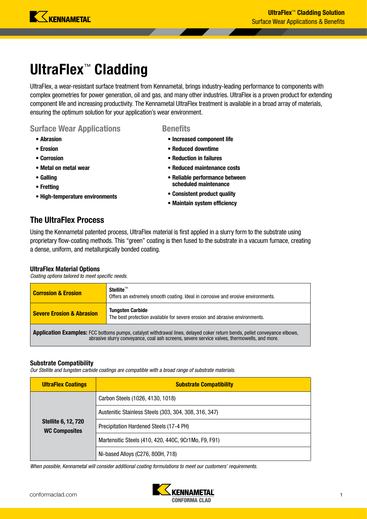

# UltraFlex™ Cladding

UltraFlex, a wear-resistant surface treatment from Kennametal, brings industry-leading performance to components with complex geometries for power generation, oil and gas, and many other industries. UltraFlex is a proven product for extending component life and increasing productivity. The Kennametal UltraFlex treatment is available in a broad array of materials, ensuring the optimum solution for your application's wear environment.

**Benefits** 

• Increased component life • Reduced downtime • Reduction in failures

• Reduced maintenance costs • Reliable performance between scheduled maintenance • Consistent product quality • Maintain system efficiency

#### Surface Wear Applications

- Abrasion
- Erosion
- Corrosion
- Metal on metal wear
- Galling
- Fretting
- High-temperature environments

#### The UltraFlex Process

Using the Kennametal patented process, UltraFlex material is first applied in a slurry form to the substrate using proprietary flow-coating methods. This "green" coating is then fused to the substrate in a vacuum furnace, creating a dense, uniform, and metallurgically bonded coating.

#### UltraFlex Material Options

*Coating options tailored to meet specific needs.*

| <b>Corrosion &amp; Erosion</b>                                                                                                                                                                                           | $Stellite^{\mathbb{M}}$<br>Offers an extremely smooth coating. Ideal in corrosive and erosive environments. |  |  |  |
|--------------------------------------------------------------------------------------------------------------------------------------------------------------------------------------------------------------------------|-------------------------------------------------------------------------------------------------------------|--|--|--|
| <b>Severe Erosion &amp; Abrasion</b>                                                                                                                                                                                     | <b>Tungsten Carbide</b><br>The best protection available for severe erosion and abrasive environments.      |  |  |  |
| Application Examples: FCC bottoms pumps, catalyst withdrawal lines, delayed coker return bends, pellet conveyance elbows,<br>abrasive slurry conveyance, coal ash screens, severe service valves, thermowells, and more. |                                                                                                             |  |  |  |

#### Substrate Compatibility

*Our Stellite and tungsten carbide coatings are compatible with a broad range of substrate materials.*

| <b>UltraFlex Coatings</b>                          | <b>Substrate Compatibility</b>                        |  |  |
|----------------------------------------------------|-------------------------------------------------------|--|--|
| <b>Stellite 6, 12, 720</b><br><b>WC Composites</b> | Carbon Steels (1026, 4130, 1018)                      |  |  |
|                                                    | Austenitic Stainless Steels (303, 304, 308, 316, 347) |  |  |
|                                                    | Precipitation Hardened Steels (17-4 PH)               |  |  |
|                                                    | Martensitic Steels (410, 420, 440C, 9Cr1Mo, F9, F91)  |  |  |
|                                                    | Ni-based Alloys (C276, 800H, 718)                     |  |  |

*When possible, Kennametal will consider additional coating formulations to meet our customers' requirements.* 

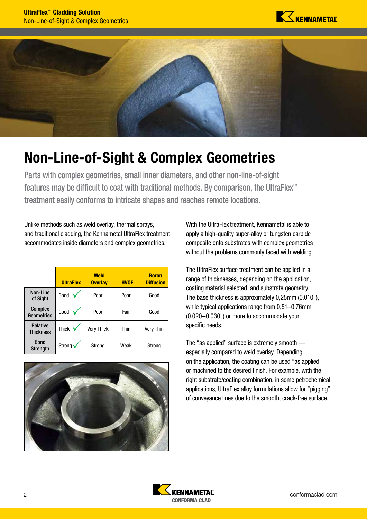



# Non-Line-of-Sight & Complex Geometries

Parts with complex geometries, small inner diameters, and other non-line-of-sight features may be difficult to coat with traditional methods. By comparison, the UltraFlex™ treatment easily conforms to intricate shapes and reaches remote locations.

Unlike methods such as weld overlay, thermal sprays, and traditional cladding, the Kennametal UltraFlex treatment accommodates inside diameters and complex geometries.

|                                     | <b>UltraFlex</b> | <b>Weld</b><br><b>Overlay</b> | <b>HVOF</b> | <b>Boron</b><br><b>Diffusion</b> |
|-------------------------------------|------------------|-------------------------------|-------------|----------------------------------|
| Non-Line<br>of Sight                | Good             | Poor                          | Poor        | Good                             |
| <b>Complex</b><br><b>Geometries</b> | Good             | Poor                          | Fair        | Good                             |
| Relative<br><b>Thickness</b>        | Thick v          | <b>Very Thick</b>             | Thin        | <b>Very Thin</b>                 |
| <b>Bond</b><br><b>Strength</b>      | Strong v         | Strong                        | Weak        | Strong                           |



With the UltraFlex treatment, Kennametal is able to apply a high-quality super-alloy or tungsten carbide composite onto substrates with complex geometries without the problems commonly faced with welding.

The UltraFlex surface treatment can be applied in a range of thicknesses, depending on the application, coating material selected, and substrate geometry. The base thickness is approximately 0,25mm (0.010"), while typical applications range from 0,51–0,76mm (0.020–0.030") or more to accommodate your specific needs.

The "as applied" surface is extremely smooth especially compared to weld overlay. Depending on the application, the coating can be used "as applied" or machined to the desired finish. For example, with the right substrate/coating combination, in some petrochemical applications, UltraFlex alloy formulations allow for "pigging" of conveyance lines due to the smooth, crack-free surface.

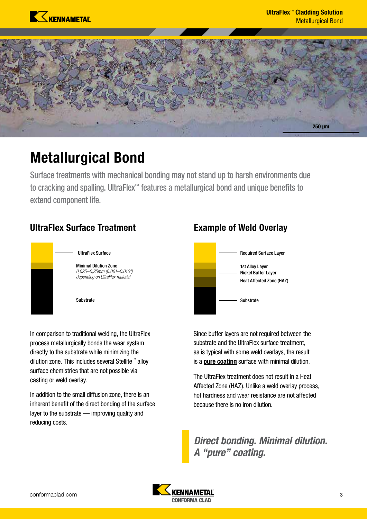



### Metallurgical Bond

Surface treatments with mechanical bonding may not stand up to harsh environments due to cracking and spalling. UltraFlex™ features a metallurgical bond and unique benefits to extend component life.

### UltraFlex Surface Treatment



In comparison to traditional welding, the UltraFlex process metallurgically bonds the wear system directly to the substrate while minimizing the dilution zone. This includes several Stellite™ alloy surface chemistries that are not possible via casting or weld overlay.

In addition to the small diffusion zone, there is an inherent benefit of the direct bonding of the surface layer to the substrate — improving quality and reducing costs.

### Example of Weld Overlay



Since buffer layers are not required between the substrate and the UltraFlex surface treatment, as is typical with some weld overlays, the result is a pure coating surface with minimal dilution.

The UltraFlex treatment does not result in a Heat Affected Zone (HAZ). Unlike a weld overlay process, hot hardness and wear resistance are not affected because there is no iron dilution.

*Direct bonding. Minimal dilution. A "pure" coating.*

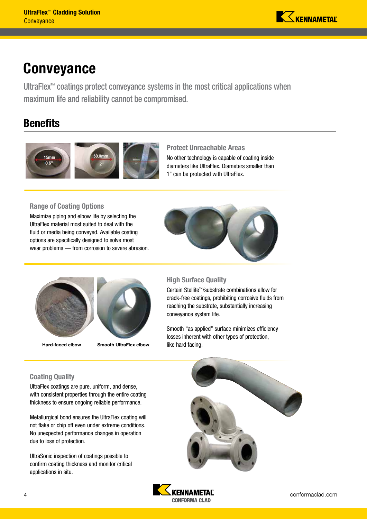

### **Conveyance**

UltraFlex™ coatings protect conveyance systems in the most critical applications when maximum life and reliability cannot be compromised.

### **Benefits**



#### Protect Unreachable Areas

No other technology is capable of coating inside diameters like UltraFlex. Diameters smaller than 1" can be protected with UltraFlex.

#### Range of Coating Options

Maximize piping and elbow life by selecting the UltraFlex material most suited to deal with the fluid or media being conveyed. Available coating options are specifically designed to solve most wear problems — from corrosion to severe abrasion.







Hard-faced elbow Smooth UltraFlex elbow

#### High Surface Quality

Certain Stellite™/substrate combinations allow for crack-free coatings, prohibiting corrosive fluids from reaching the substrate, substantially increasing conveyance system life.

Smooth "as applied" surface minimizes efficiency losses inherent with other types of protection, like hard facing.

#### Coating Quality

UltraFlex coatings are pure, uniform, and dense, with consistent properties through the entire coating thickness to ensure ongoing reliable performance.

Metallurgical bond ensures the UltraFlex coating will not flake or chip off even under extreme conditions. No unexpected performance changes in operation due to loss of protection.

UltraSonic inspection of coatings possible to confirm coating thickness and monitor critical applications in situ.



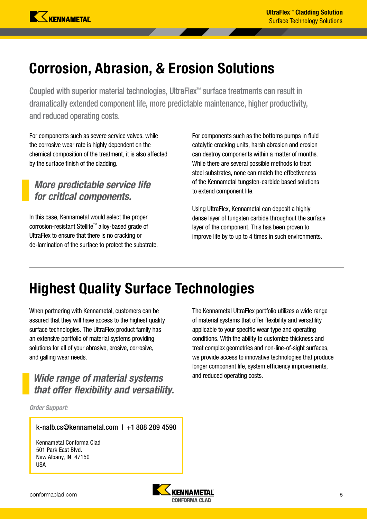# Corrosion, Abrasion, & Erosion Solutions

Coupled with superior material technologies, UltraFlex™ surface treatments can result in dramatically extended component life, more predictable maintenance, higher productivity, and reduced operating costs.

For components such as severe service valves, while the corrosive wear rate is highly dependent on the chemical composition of the treatment, it is also affected by the surface finish of the cladding.

### *More predictable service life for critical components.*

In this case, Kennametal would select the proper corrosion-resistant Stellite™ alloy-based grade of UltraFlex to ensure that there is no cracking or de-lamination of the surface to protect the substrate. For components such as the bottoms pumps in fluid catalytic cracking units, harsh abrasion and erosion can destroy components within a matter of months. While there are several possible methods to treat steel substrates, none can match the effectiveness of the Kennametal tungsten-carbide based solutions to extend component life.

Using UltraFlex, Kennametal can deposit a highly dense layer of tungsten carbide throughout the surface layer of the component. This has been proven to improve life by to up to 4 times in such environments.

# Highest Quality Surface Technologies

When partnering with Kennametal, customers can be assured that they will have access to the highest quality surface technologies. The UltraFlex product family has an extensive portfolio of material systems providing solutions for all of your abrasive, erosive, corrosive, and galling wear needs.

### *Wide range of material systems* and reduced operating costs. *that offer flexibility and versatility.*

*Order Support:*

k-nalb.cs@kennametal.com | +1 888 289 4590

Kennametal Conforma Clad 501 Park East Blvd. New Albany, IN 47150 USA

The Kennametal UltraFlex portfolio utilizes a wide range of material systems that offer flexibility and versatility applicable to your specific wear type and operating conditions. With the ability to customize thickness and treat complex geometries and non-line-of-sight surfaces, we provide access to innovative technologies that produce longer component life, system efficiency improvements,